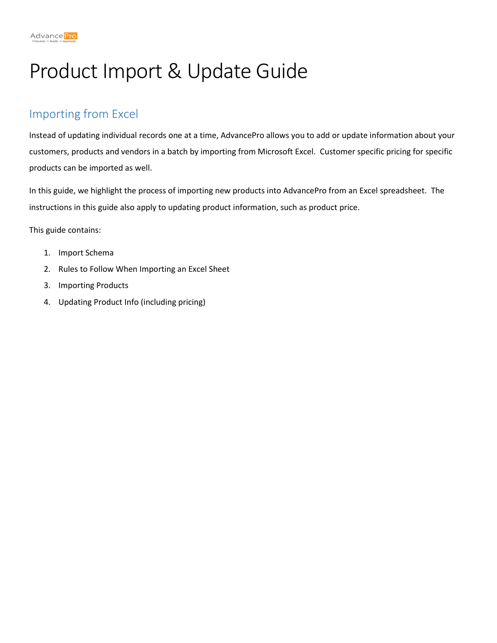# Product Import & Update Guide

## Importing from Excel

Instead of updating individual records one at a time, AdvancePro allows you to add or update information about your customers, products and vendors in a batch by importing from Microsoft Excel. Customer specific pricing for specific products can be imported as well.

In this guide, we highlight the process of importing new products into AdvancePro from an Excel spreadsheet. The instructions in this guide also apply to updating product information, such as product price.

This guide contains:

- 1. Import Schema
- 2. Rules to Follow When Importing an Excel Sheet
- 3. Importing Products
- 4. Updating Product Info (including pricing)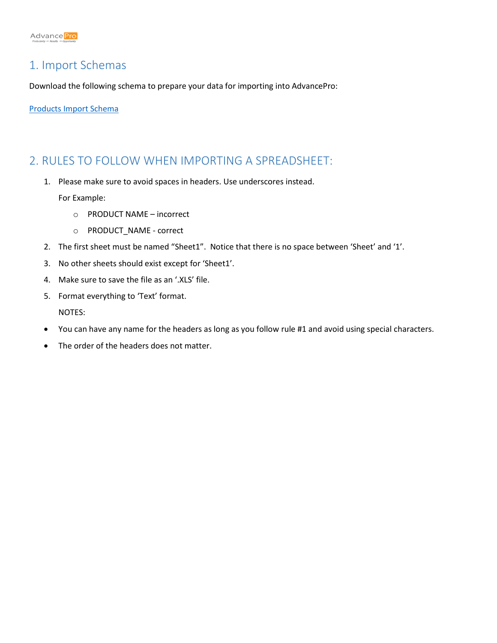#### 1. Import Schemas

Download the following schema to prepare your data for importing into AdvancePro:

[Products Import Schema](https://support.zoho.com/portal/advanceprotechnologies/ViewAttachment.do?blockId=7ec967db3bdb4c020a58d3e0d30da2d5604efa4dcfa70668&fileName=Products+Import+Schema.xls&zgId=6225226f742c5104dc91a236738b3d70&downloadType=uploadedFile&isSupAttach=true)

#### 2. RULES TO FOLLOW WHEN IMPORTING A SPREADSHEET:

1. Please make sure to avoid spaces in headers. Use underscores instead.

For Example:

- o PRODUCT NAME incorrect
- o PRODUCT\_NAME correct
- 2. The first sheet must be named "Sheet1". Notice that there is no space between 'Sheet' and '1'.
- 3. No other sheets should exist except for 'Sheet1'.
- 4. Make sure to save the file as an '.XLS' file.
- 5. Format everything to 'Text' format.

NOTES:

- You can have any name for the headers as long as you follow rule #1 and avoid using special characters.
- The order of the headers does not matter.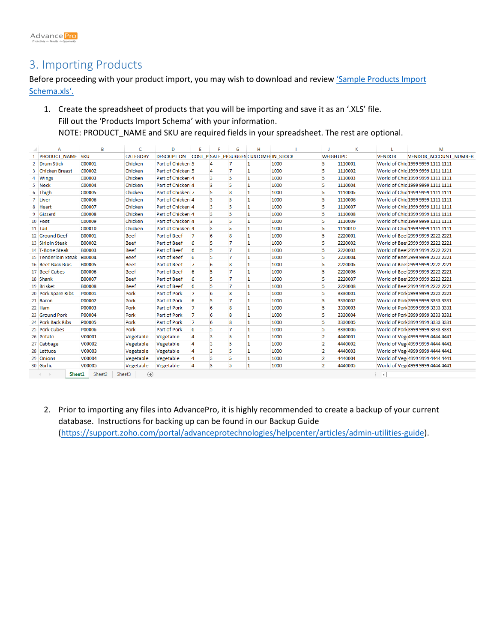### 3. Importing Products

Before proceeding with your product import, you may wish to download and review 'Sample Products Import [Schema.xls](https://support.zoho.com/portal/advanceprotechnologies/ViewAttachment.do?blockId=7ec967db3bdb4c027b164ad9d5665c6fcb5fb0c50d7843e2&fileName=Sample+Products+Import+Schema.xls&zgId=6225226f742c5104dc91a236738b3d70&downloadType=uploadedFile&isSupAttach=true)'.

1. Create the spreadsheet of products that you will be importing and save it as an '.XLS' file. Fill out the 'Products Import Schema' with your information. NOTE: PRODUCT\_NAME and SKU are required fields in your spreadsheet. The rest are optional.

|                | А                                                                              | B             | Ċ               | D                   | E            | Е                       | G              | н                                      |      |                  | К       | т             | м                                 |
|----------------|--------------------------------------------------------------------------------|---------------|-----------------|---------------------|--------------|-------------------------|----------------|----------------------------------------|------|------------------|---------|---------------|-----------------------------------|
| $\mathbf{1}$   | <b>PRODUCT NAME SKU</b>                                                        |               | <b>CATEGORY</b> | <b>DESCRIPTION</b>  |              |                         |                | COST P SALE PRSUGGES CUSTOMEF IN STOCK |      | <b>WEIGH UPC</b> |         | <b>VENDOR</b> | <b>VENDOR ACCOUNT NUMBER</b>      |
| $\overline{2}$ | <b>Drum Stick</b>                                                              | C00001        | Chicken         | Part of Chicken 5   |              | 4                       | 7              | 1                                      | 1000 | 5                | 1110001 |               | World of Chic 1999 9999 1111 1111 |
| з              | <b>Chicken Breast</b>                                                          | C00002        | Chicken         | Part of Chicken 5   |              | 4                       | 7              | 1                                      | 1000 | 5                | 1110002 |               | World of Chic 1999 9999 1111 1111 |
| 4              | <b>Wings</b>                                                                   | C00003        | Chicken         | Part of Chicken 4   |              | B.                      | 5              | 1                                      | 1000 | 5                | 1110003 |               | World of Chic 1999 9999 1111 1111 |
| 5.             | <b>Neck</b>                                                                    | C00004        | Chicken         | Part of Chicken 4   |              | $\overline{\mathbf{3}}$ | 5              | 1                                      | 1000 | 5                | 1110004 |               | World of Chic 1999 9999 1111 1111 |
| 6              | <b>Thigh</b>                                                                   | C00005        | Chicken         | Part of Chicken 7   |              | 5                       | 8              | 1                                      | 1000 | 5                | 1110005 |               | World of Chic 1999 9999 1111 1111 |
|                | 7 Liver                                                                        | C00006        | Chicken         | Part of Chicken 4   |              | 3                       | 5              | 1                                      | 1000 | 5                | 1110006 |               | World of Chic 1999 9999 1111 1111 |
| 8              | <b>Heart</b>                                                                   | C00007        | Chicken         | Part of Chicken 4   |              | 3                       | 5              | 1                                      | 1000 | 5                | 1110007 |               | World of Chic 1999 9999 1111 1111 |
| 9              | Gizzard                                                                        | <b>C00008</b> | Chicken         | Part of Chicken 4   |              | 3                       | 5              | 1                                      | 1000 | 5                | 1110008 |               | World of Chic 1999 9999 1111 1111 |
|                | 10 Feet                                                                        | C00009        | Chicken         | Part of Chicken 4   |              | 3                       | 5              | 1                                      | 1000 | 5                | 1110009 |               | World of Chic 1999 9999 1111 1111 |
| 11 Tail        |                                                                                | C00010        | Chicken         | Part of Chicken 4   |              | 3                       | 5              | 1                                      | 1000 | 5                | 1110010 |               | World of Chic 1999 9999 1111 1111 |
|                | 12 Ground Beef                                                                 | B00001        | <b>Beef</b>     | Part of Beef        | $\mathbf{7}$ | 6                       | $\overline{8}$ | 1                                      | 1000 | 5                | 2220001 |               | World of Beet 2999 9999 2222 2221 |
|                | 13 Sirloin Steak                                                               | B00002        | <b>Beef</b>     | Part of Beef        | 6            | 5                       | $\overline{7}$ | 1                                      | 1000 | 5                | 2220002 |               | World of Beel 2999 9999 2222 2221 |
|                | 14 T-Bone Steak                                                                | <b>B00003</b> | <b>Beef</b>     | Part of Beef        | 6            | 5                       | 7              | 1                                      | 1000 | 5                | 2220003 |               | World of Bee 2999 9999 2222 2221  |
| 15             | Tenderloin Steak                                                               | <b>B00004</b> | <b>Beef</b>     | Part of Beef        | 6            | 5                       | 7              | 1                                      | 1000 | 5                | 2220004 |               | World of Beet 2999 9999 2222 2221 |
|                | 16 Beef Back Ribs                                                              | <b>B00005</b> | <b>Beef</b>     | Part of Beef        | 7            | 6                       | 8              | 1                                      | 1000 | 5                | 2220005 |               | World of Beei 2999 9999 2222 2221 |
|                | 17 Beef Cubes                                                                  | <b>B00006</b> | <b>Beef</b>     | Part of Beef        | 6            | 5                       | 7              | 1                                      | 1000 | 5                | 2220006 |               | World of Beei 2999 9999 2222 2221 |
|                | 18 Shank                                                                       | <b>B00007</b> | <b>Beef</b>     | Part of Beef        | 6            | 5                       | 7              | 1                                      | 1000 | 5                | 2220007 |               | World of Beei 2999 9999 2222 2221 |
|                | 19 Brisket                                                                     | <b>B00008</b> | <b>Beef</b>     | Part of Beef        | 6            | 5                       | 7              | 1                                      | 1000 | 5                | 2220008 |               | World of Beel 2999 9999 2222 2221 |
|                | 20 Pork Spare Ribs                                                             | P00001        | Pork            | <b>Part of Pork</b> | 7            | 6                       | $\mathbf{g}$   | 1                                      | 1000 | 5                | 3330001 |               | World of Pork 2999 9999 2222 2221 |
|                | 21 Bacon                                                                       | P00002        | Pork            | Part of Pork        | 6            | 5                       | 7              | 1                                      | 1000 | 5                | 3330002 |               | World of Pork 3999 9999 3333 3331 |
|                | 22 Ham                                                                         | P00003        | Pork            | Part of Pork        | 7            | 6                       | 8              | 1                                      | 1000 | 5                | 3330003 |               | World of Pork 3999 9999 3333 3331 |
|                | 23 Ground Pork                                                                 | P00004        | Pork            | Part of Pork        | 7            | 6                       | g              | 1                                      | 1000 | 5                | 3330004 |               | World of Pork 3999 9999 3333 3331 |
|                | 24 Pork Back Ribs                                                              | P00005        | Pork            | Part of Pork        | 7            | 6                       | 8              | 1                                      | 1000 | 5                | 3330005 |               | World of Pork 3999 9999 3333 3331 |
|                | 25 Pork Cubes                                                                  | P00006        | Pork            | Part of Pork        | 6            | 5                       | 7              | 1                                      | 1000 | 5                | 3330006 |               | World of Pork 3999 9999 3333 3331 |
|                | 26 Potato                                                                      | V00001        | Vegetable       | Vegetable           | 4            | 3                       | 5              | 1                                      | 1000 | $\overline{2}$   | 4440001 |               | World of Veg 4999 9999 4444 4441  |
|                | 27 Cabbage                                                                     | V00002        | Vegetable       | Vegetable           | 4            | 3                       | 5              | 1                                      | 1000 | $\overline{2}$   | 4440002 |               | World of Veg 4999 9999 4444 4441  |
|                | 28 Lettuce                                                                     | V00003        | Vegetable       | Vegetable           | 4            | 3                       | 5              | 1                                      | 1000 | $\overline{2}$   | 4440003 |               | World of Veg 4999 9999 4444 4441  |
|                | 29 Onions                                                                      | V00004        | Vegetable       | Vegetable           | 4            | 3                       | 5              | 1                                      | 1000 | $\overline{2}$   | 4440004 |               | World of Veg 4999 9999 4444 4441  |
|                | 30 Garlic                                                                      | V00005        | Vegetable       | Vegetable           | 4            | 3                       | 5              | 1                                      | 1000 | $\overline{2}$   | 4440005 |               | World of Veg 4999 9999 4444 4441  |
|                | $\left( + \right)$<br>$\overline{A}$<br>Sheet1<br>Sheet2<br>Sheet3<br>$\left($ |               |                 |                     |              |                         |                |                                        |      |                  |         |               |                                   |

2. Prior to importing any files into AdvancePro, it is highly recommended to create a backup of your current database. Instructions for backing up can be found in our Backup Guide [\(https://support.zoho.com/portal/advanceprotechnologies/helpcenter/articles/admin-utilities-guide\)](https://support.zoho.com/portal/advanceprotechnologies/helpcenter/articles/admin-utilities-guide).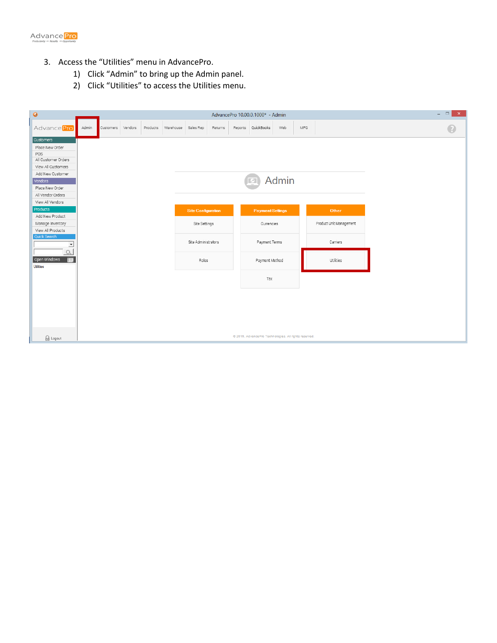

- 3. Access the "Utilities" menu in AdvancePro.
	- 1) Click "Admin" to bring up the Admin panel.
	- 2) Click "Utilities" to access the Utilities menu.

| $\bullet$<br>AdvancePro 10.00.0.1000* - Admin |       |           |         |          |           |                           |         |  |                                                       |     | $  \overline{ }$ $\overline{ }$ $\overline{ }$ $\overline{ }$ $\overline{ }$ $\overline{ }$ $\overline{ }$ $\overline{ }$ $\overline{ }$ $\overline{ }$ $\overline{ }$ $\overline{ }$ $\overline{ }$ $\overline{ }$ $\overline{ }$ $\overline{ }$ $\overline{ }$ $\overline{ }$ $\overline{ }$ $\overline{ }$ $\overline{ }$ $\overline{ }$ $\overline{ }$ $\overline{ }$ $\overline{ }$ $\overline{ }$ $\overline{$ |                         |  |  |   |
|-----------------------------------------------|-------|-----------|---------|----------|-----------|---------------------------|---------|--|-------------------------------------------------------|-----|----------------------------------------------------------------------------------------------------------------------------------------------------------------------------------------------------------------------------------------------------------------------------------------------------------------------------------------------------------------------------------------------------------------------|-------------------------|--|--|---|
| Advance Pro                                   | Admin | Customers | Vendors | Products | Warehouse | Sales Rep                 | Returns |  | Reports QuickBooks                                    | Web | MFG                                                                                                                                                                                                                                                                                                                                                                                                                  |                         |  |  | B |
| Customers                                     |       |           |         |          |           |                           |         |  |                                                       |     |                                                                                                                                                                                                                                                                                                                                                                                                                      |                         |  |  |   |
| Place New Order                               |       |           |         |          |           |                           |         |  |                                                       |     |                                                                                                                                                                                                                                                                                                                                                                                                                      |                         |  |  |   |
| POS<br>All Customer Orders                    |       |           |         |          |           |                           |         |  |                                                       |     |                                                                                                                                                                                                                                                                                                                                                                                                                      |                         |  |  |   |
| View All Customers                            |       |           |         |          |           |                           |         |  |                                                       |     |                                                                                                                                                                                                                                                                                                                                                                                                                      |                         |  |  |   |
| Add New Customer                              |       |           |         |          |           |                           |         |  |                                                       |     |                                                                                                                                                                                                                                                                                                                                                                                                                      |                         |  |  |   |
| <b>Admin</b><br>Vendors                       |       |           |         |          |           |                           |         |  |                                                       |     |                                                                                                                                                                                                                                                                                                                                                                                                                      |                         |  |  |   |
| Place New Order                               |       |           |         |          |           |                           |         |  |                                                       |     |                                                                                                                                                                                                                                                                                                                                                                                                                      |                         |  |  |   |
| All Vendor Orders                             |       |           |         |          |           |                           |         |  |                                                       |     |                                                                                                                                                                                                                                                                                                                                                                                                                      |                         |  |  |   |
| View All Vendors                              |       |           |         |          |           |                           |         |  |                                                       |     |                                                                                                                                                                                                                                                                                                                                                                                                                      |                         |  |  |   |
| Products<br>Add New Product                   |       |           |         |          |           | <b>Site Configuration</b> |         |  | <b>Payment Settings</b>                               |     |                                                                                                                                                                                                                                                                                                                                                                                                                      | Other                   |  |  |   |
| Manage Inventory                              |       |           |         |          |           | Site Settings             |         |  | Currencies                                            |     |                                                                                                                                                                                                                                                                                                                                                                                                                      | Product Unit Management |  |  |   |
| View All Products                             |       |           |         |          |           |                           |         |  |                                                       |     |                                                                                                                                                                                                                                                                                                                                                                                                                      |                         |  |  |   |
| Quick Search                                  |       |           |         |          |           |                           |         |  |                                                       |     |                                                                                                                                                                                                                                                                                                                                                                                                                      |                         |  |  |   |
| ᅬ                                             |       |           |         |          |           | Site Administrators       |         |  | Payment Terms                                         |     |                                                                                                                                                                                                                                                                                                                                                                                                                      | Carriers                |  |  |   |
| $\alpha$                                      |       |           |         |          |           |                           |         |  |                                                       |     |                                                                                                                                                                                                                                                                                                                                                                                                                      |                         |  |  |   |
| $\blacksquare$<br>Open Windows<br>Utilities   |       |           |         |          |           | Roles                     |         |  | Payment Method                                        |     |                                                                                                                                                                                                                                                                                                                                                                                                                      | Utilities               |  |  |   |
|                                               |       |           |         |          |           |                           |         |  |                                                       |     |                                                                                                                                                                                                                                                                                                                                                                                                                      |                         |  |  |   |
|                                               |       |           |         |          |           |                           |         |  | Tax                                                   |     |                                                                                                                                                                                                                                                                                                                                                                                                                      |                         |  |  |   |
|                                               |       |           |         |          |           |                           |         |  |                                                       |     |                                                                                                                                                                                                                                                                                                                                                                                                                      |                         |  |  |   |
|                                               |       |           |         |          |           |                           |         |  |                                                       |     |                                                                                                                                                                                                                                                                                                                                                                                                                      |                         |  |  |   |
|                                               |       |           |         |          |           |                           |         |  |                                                       |     |                                                                                                                                                                                                                                                                                                                                                                                                                      |                         |  |  |   |
|                                               |       |           |         |          |           |                           |         |  |                                                       |     |                                                                                                                                                                                                                                                                                                                                                                                                                      |                         |  |  |   |
|                                               |       |           |         |          |           |                           |         |  |                                                       |     |                                                                                                                                                                                                                                                                                                                                                                                                                      |                         |  |  |   |
|                                               |       |           |         |          |           |                           |         |  |                                                       |     |                                                                                                                                                                                                                                                                                                                                                                                                                      |                         |  |  |   |
| <b>B</b> Logout                               |       |           |         |          |           |                           |         |  | @ 2015, AdvancePro Technologies. All rights reserved. |     |                                                                                                                                                                                                                                                                                                                                                                                                                      |                         |  |  |   |
|                                               |       |           |         |          |           |                           |         |  |                                                       |     |                                                                                                                                                                                                                                                                                                                                                                                                                      |                         |  |  |   |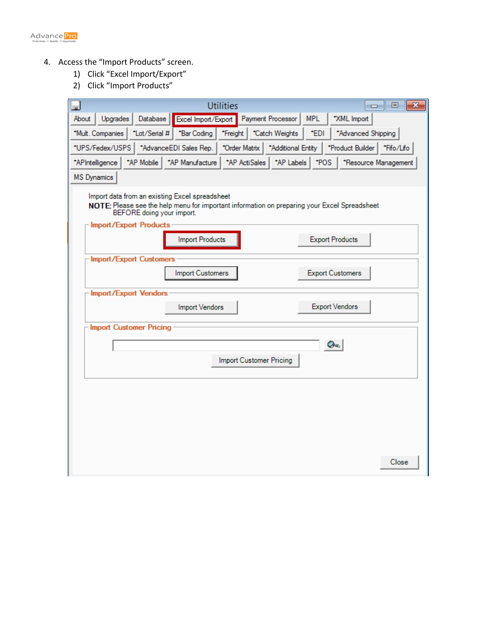

- 4. Access the "Import Products" screen.
	- 1) Click "Excel Import/Export"
	- 2) Click "Import Products"

| <b>Utilities</b><br>$\overline{\mathbf{x}}$<br>▣<br>$\Box$<br><b>x</b>                                                                                                      |
|-----------------------------------------------------------------------------------------------------------------------------------------------------------------------------|
| About<br><b>Upgrades</b><br>Database<br>Excel Import/Export<br>Payment Processor<br><b>MPL</b><br>*XML Import                                                               |
| *Lot/Serial #<br>*Freight   *Catch Weights<br>*EDI<br>*Advanced Shipping<br>*Mult. Companies<br>*Bar Coding                                                                 |
| *UPS/Fedex/USPS<br>*Fifo/Lifo<br>*AdvanceEDI Sales Rep.<br>*Order Matrix<br>*Additional Entity<br>*Product Builder                                                          |
| *AP Labels<br>*POS<br>*AP Mobile<br>*AP Manufacture<br>*AP ActiSales<br>*APIntelligence<br>*Resource Management                                                             |
| <b>MS</b> Dynamics                                                                                                                                                          |
| Import data from an existing Excel spreadsheet<br>NOTE: Please see the help menu for important information on preparing your Excel Spreadsheet<br>BEFORE doing your import. |
| Import/Export Products                                                                                                                                                      |
| <b>Import Products</b><br><b>Export Products</b>                                                                                                                            |
| Import/Export Customers                                                                                                                                                     |
| <b>Import Customers</b><br><b>Export Customers</b>                                                                                                                          |
| <b>Import/Export Vendors</b>                                                                                                                                                |
| <b>Export Vendors</b><br>Import Vendors                                                                                                                                     |
| Import Customer Pricing                                                                                                                                                     |
| On.                                                                                                                                                                         |
| Import Customer Pricing                                                                                                                                                     |
|                                                                                                                                                                             |
|                                                                                                                                                                             |
|                                                                                                                                                                             |
|                                                                                                                                                                             |
|                                                                                                                                                                             |
|                                                                                                                                                                             |
| Close                                                                                                                                                                       |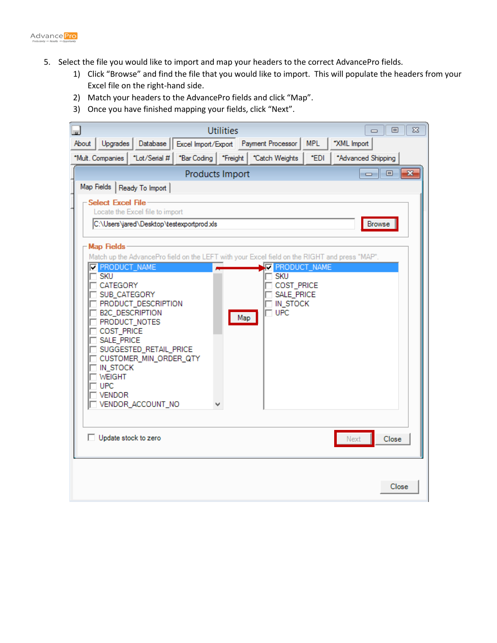

- 5. Select the file you would like to import and map your headers to the correct AdvancePro fields.
	- 1) Click "Browse" and find the file that you would like to import. This will populate the headers from your Excel file on the right-hand side.
	- 2) Match your headers to the AdvancePro fields and click "Map".
	- 3) Once you have finished mapping your fields, click "Next".

|       |                                                     |                                                  |                 | <b>Utilities</b> |                                                                                               |      | $\Box$             | ΣS<br>回      |  |  |  |  |
|-------|-----------------------------------------------------|--------------------------------------------------|-----------------|------------------|-----------------------------------------------------------------------------------------------|------|--------------------|--------------|--|--|--|--|
| About | Upgrades                                            | Database <sup> </sup>                            |                 |                  | Excel Import/Export Payment Processor   MPL                                                   |      | *XML Import        |              |  |  |  |  |
|       | *Mult. Companies                                    | *Lot/Serial #                                    |                 |                  | *Bar Coding   *Freight   *Catch Weights                                                       | *EDI | *Advanced Shipping |              |  |  |  |  |
|       |                                                     |                                                  | Products Import |                  |                                                                                               |      | <u>ale</u>         | $\mathbf{x}$ |  |  |  |  |
|       | Map Fields                                          | Ready To Import                                  |                 |                  |                                                                                               |      |                    |              |  |  |  |  |
|       | <b>Select Excel File</b>                            |                                                  |                 |                  |                                                                                               |      |                    |              |  |  |  |  |
|       | Locate the Excel file to import                     |                                                  |                 |                  |                                                                                               |      |                    |              |  |  |  |  |
|       | C:\Users\jared\Desktop\testexportprod.xls<br>Browse |                                                  |                 |                  |                                                                                               |      |                    |              |  |  |  |  |
|       | Map Fields                                          |                                                  |                 |                  |                                                                                               |      |                    |              |  |  |  |  |
|       |                                                     |                                                  |                 |                  | Match up the AdvancePro field on the LEFT with your Excel field on the RIGHT and press "MAP". |      |                    |              |  |  |  |  |
|       | <b>E</b> PRODUCT_NAME<br><b>SKU</b>                 |                                                  |                 |                  | <b>FRODUCT_NAME</b><br><b>SKU</b>                                                             |      |                    |              |  |  |  |  |
|       | <b>CATEGORY</b>                                     |                                                  |                 |                  | COST_PRICE                                                                                    |      |                    |              |  |  |  |  |
|       | SUB_CATEGORY                                        | <b>PRODUCT_DESCRIPTION</b>                       |                 |                  | SALE_PRICE<br>IN_STOCK                                                                        |      |                    |              |  |  |  |  |
|       | <b>B2C_DESCRIPTION</b>                              |                                                  |                 | Map              | <b>UPC</b>                                                                                    |      |                    |              |  |  |  |  |
|       | PRODUCT_NOTES<br>COST_PRICE                         |                                                  |                 |                  |                                                                                               |      |                    |              |  |  |  |  |
|       | SALE_PRICE                                          |                                                  |                 |                  |                                                                                               |      |                    |              |  |  |  |  |
|       |                                                     | SUGGESTED_RETAIL_PRICE<br>CUSTOMER_MIN_ORDER_QTY |                 |                  |                                                                                               |      |                    |              |  |  |  |  |
|       | IN_STOCK                                            |                                                  |                 |                  |                                                                                               |      |                    |              |  |  |  |  |
|       | <b>WEIGHT</b><br><b>UPC</b>                         |                                                  |                 |                  |                                                                                               |      |                    |              |  |  |  |  |
|       | <b>VENDOR</b>                                       |                                                  |                 |                  |                                                                                               |      |                    |              |  |  |  |  |
|       |                                                     | VENDOR_ACCOUNT_NO                                |                 |                  |                                                                                               |      |                    |              |  |  |  |  |
|       |                                                     |                                                  |                 |                  |                                                                                               |      |                    |              |  |  |  |  |
|       | Update stock to zero                                |                                                  |                 |                  |                                                                                               |      | Next               | Close        |  |  |  |  |
|       |                                                     |                                                  |                 |                  |                                                                                               |      |                    |              |  |  |  |  |
|       |                                                     |                                                  |                 |                  |                                                                                               |      |                    |              |  |  |  |  |
|       |                                                     |                                                  |                 |                  |                                                                                               |      |                    |              |  |  |  |  |
|       |                                                     |                                                  |                 |                  |                                                                                               |      |                    | Close        |  |  |  |  |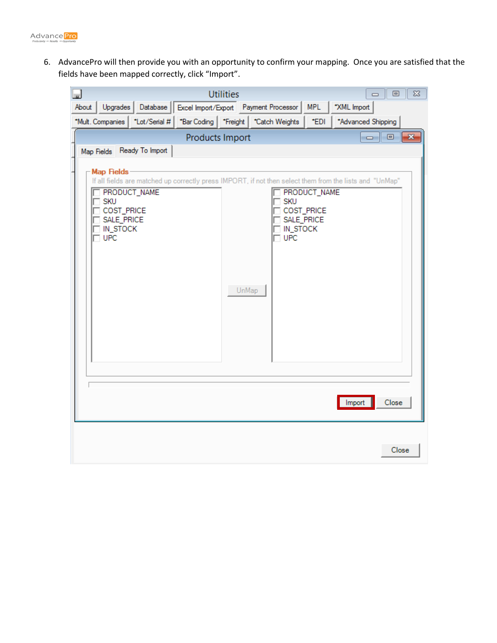

6. AdvancePro will then provide you with an opportunity to confirm your mapping. Once you are satisfied that the fields have been mapped correctly, click "Import".

| آسا              |                            |                            |                 | <b>Utilities</b> |                                             |              | $\qquad \qquad \Box$                                                                                    | $\Sigma$<br>回 |
|------------------|----------------------------|----------------------------|-----------------|------------------|---------------------------------------------|--------------|---------------------------------------------------------------------------------------------------------|---------------|
| About            | Upgrades                   | Database                   |                 |                  | Excel Import/Export Payment Processor   MPL |              | *XML Import                                                                                             |               |
| *Mult. Companies |                            | *Lot/Serial #              |                 |                  | *Bar Coding   *Freight   *Catch Weights     | *EDI         | *Advanced Shipping                                                                                      |               |
|                  |                            |                            | Products Import |                  |                                             |              |                                                                                                         |               |
|                  |                            | Map Fields Ready To Import |                 |                  |                                             |              |                                                                                                         |               |
|                  | Map Fields                 |                            |                 |                  |                                             |              |                                                                                                         |               |
|                  |                            |                            |                 |                  |                                             |              | If all fields are matched up correctly press IMPORT, if not then select them from the lists and "UnMap" |               |
|                  | PRODUCT_NAME<br><b>SKU</b> |                            |                 |                  | <b>SKU</b>                                  | PRODUCT_NAME |                                                                                                         |               |
|                  | COST_PRICE                 |                            |                 |                  |                                             | COST_PRICE   |                                                                                                         |               |
|                  | SALE_PRICE<br>IN_STOCK     |                            |                 |                  | IN_STOCK                                    | SALE_PRICE   |                                                                                                         |               |
|                  | $\Box$ UPC                 |                            |                 |                  | <b>UPC</b>                                  |              |                                                                                                         |               |
|                  |                            |                            |                 |                  |                                             |              |                                                                                                         |               |
|                  |                            |                            |                 |                  |                                             |              |                                                                                                         |               |
|                  |                            |                            |                 | UnMap            |                                             |              |                                                                                                         |               |
|                  |                            |                            |                 |                  |                                             |              |                                                                                                         |               |
|                  |                            |                            |                 |                  |                                             |              |                                                                                                         |               |
|                  |                            |                            |                 |                  |                                             |              |                                                                                                         |               |
|                  |                            |                            |                 |                  |                                             |              |                                                                                                         |               |
|                  |                            |                            |                 |                  |                                             |              |                                                                                                         |               |
|                  |                            |                            |                 |                  |                                             |              |                                                                                                         |               |
|                  |                            |                            |                 |                  |                                             |              | Import                                                                                                  | Close         |
|                  |                            |                            |                 |                  |                                             |              |                                                                                                         |               |
|                  |                            |                            |                 |                  |                                             |              |                                                                                                         |               |
|                  |                            |                            |                 |                  |                                             |              |                                                                                                         | Close         |
|                  |                            |                            |                 |                  |                                             |              |                                                                                                         |               |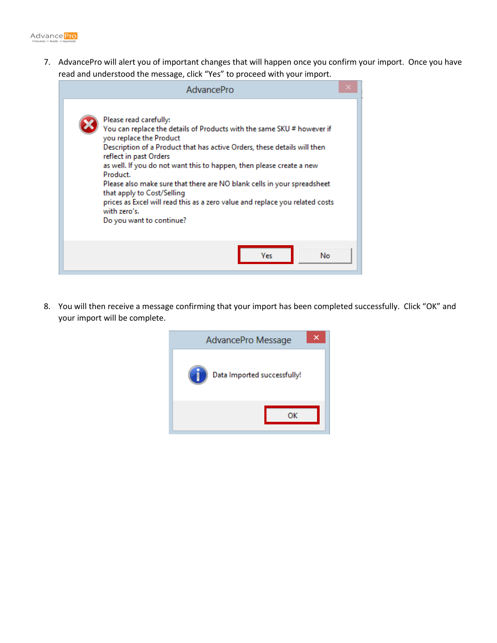

7. AdvancePro will alert you of important changes that will happen once you confirm your import. Once you have read and understood the message, click "Yes" to proceed with your import.

| AdvancePro                                                                                                                                                                                                                                                                                                                                                                                                                                                                                                                                                 |  |
|------------------------------------------------------------------------------------------------------------------------------------------------------------------------------------------------------------------------------------------------------------------------------------------------------------------------------------------------------------------------------------------------------------------------------------------------------------------------------------------------------------------------------------------------------------|--|
| Please read carefully:<br>You can replace the details of Products with the same SKU # however if<br>you replace the Product<br>Description of a Product that has active Orders, these details will then<br>reflect in past Orders<br>as well. If you do not want this to happen, then please create a new<br>Product.<br>Please also make sure that there are NO blank cells in your spreadsheet<br>that apply to Cost/Selling<br>prices as Excel will read this as a zero value and replace you related costs<br>with zero's.<br>Do you want to continue? |  |
| No<br>Ves                                                                                                                                                                                                                                                                                                                                                                                                                                                                                                                                                  |  |

8. You will then receive a message confirming that your import has been completed successfully. Click "OK" and your import will be complete.